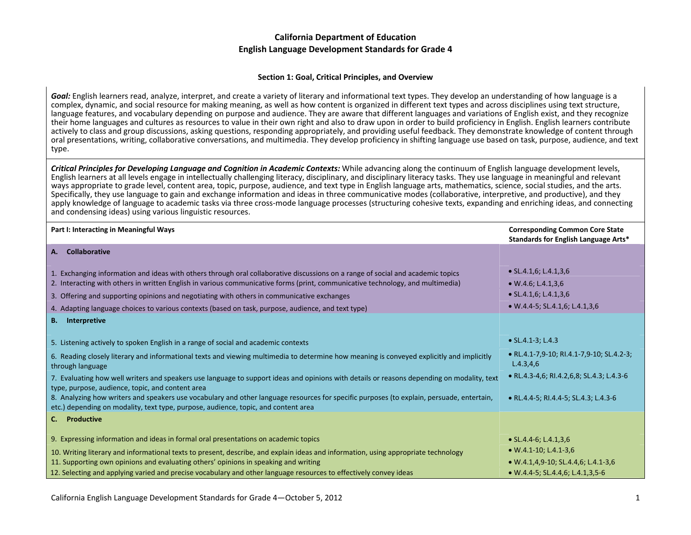#### **Section 1: Goal, Critical Principles, and Overview**

*Goal:* English learners read, analyze, interpret, and create <sup>a</sup> variety of literary and informational text types. They develop an understanding of how language is <sup>a</sup> complex, dynamic, and social resource for making meaning, as well as how content is organized in different text types and across disciplines using text structure, language features, and vocabulary depending on purpose and audience. They are aware that different languages and variations of English exist, and they recognize their home languages and cultures as resources to value in their own right and also to draw upon in order to build proficiency in English. English learners contribute actively to class and group discussions, asking questions, responding appropriately, and providing useful feedback. They demonstrate knowledge of content through oral presentations, writing, collaborative conversations, and multimedia. They develop proficiency in shifting language use based on task, purpose, audience, and text type.

Critical Principles for Developing Language and Cognition in Academic Contexts: While advancing along the continuum of English language development levels, English learners at all levels engage in intellectually challenging literacy, disciplinary, and disciplinary literacy tasks. They use language in meaningful and relevant ways appropriate to grade level, content area, topic, purpose, audience, and text type in English language arts, mathematics, science, social studies, and the arts. Specifically, they use language to gain and exchange information and ideas in three communicative modes (collaborative, interpretive, and productive), and they apply knowledge of language to academic tasks via three cross-mode language processes (structuring cohesive texts, expanding and enriching ideas, and connecting and condensing ideas) using various linguistic resources.

| Part I: Interacting in Meaningful Ways                                                                                                                                                                                          | <b>Corresponding Common Core State</b><br>Standards for English Language Arts* |
|---------------------------------------------------------------------------------------------------------------------------------------------------------------------------------------------------------------------------------|--------------------------------------------------------------------------------|
| Collaborative<br>А.                                                                                                                                                                                                             |                                                                                |
| 1. Exchanging information and ideas with others through oral collaborative discussions on a range of social and academic topics                                                                                                 | $\bullet$ SL.4.1,6; L.4.1,3,6                                                  |
| 2. Interacting with others in written English in various communicative forms (print, communicative technology, and multimedia)                                                                                                  | $\bullet$ W.4.6; L.4.1,3,6                                                     |
| 3. Offering and supporting opinions and negotiating with others in communicative exchanges                                                                                                                                      | $\bullet$ SL.4.1,6; L.4.1,3,6                                                  |
| 4. Adapting language choices to various contexts (based on task, purpose, audience, and text type)                                                                                                                              | $\bullet$ W.4.4-5; SL.4.1,6; L.4.1,3,6                                         |
| <b>B.</b> Interpretive                                                                                                                                                                                                          |                                                                                |
| 5. Listening actively to spoken English in a range of social and academic contexts                                                                                                                                              | $\bullet$ SL.4.1-3; L.4.3                                                      |
| 6. Reading closely literary and informational texts and viewing multimedia to determine how meaning is conveyed explicitly and implicitly<br>through language                                                                   | • RL.4.1-7,9-10; RI.4.1-7,9-10; SL.4.2-3;<br>L.4.3,4,6                         |
| 7. Evaluating how well writers and speakers use language to support ideas and opinions with details or reasons depending on modality, text<br>type, purpose, audience, topic, and content area                                  | • RL.4.3-4,6; RI.4.2,6,8; SL.4.3; L.4.3-6                                      |
| 8. Analyzing how writers and speakers use vocabulary and other language resources for specific purposes (to explain, persuade, entertain,<br>etc.) depending on modality, text type, purpose, audience, topic, and content area | • RL.4.4-5; RI.4.4-5; SL.4.3; L.4.3-6                                          |
| C. Productive                                                                                                                                                                                                                   |                                                                                |
| 9. Expressing information and ideas in formal oral presentations on academic topics                                                                                                                                             | • $SL.4.4-6$ ; $L.4.1,3,6$                                                     |
| 10. Writing literary and informational texts to present, describe, and explain ideas and information, using appropriate technology                                                                                              | $\bullet$ W.4.1-10; L.4.1-3,6                                                  |
| 11. Supporting own opinions and evaluating others' opinions in speaking and writing                                                                                                                                             | $\bullet$ W.4.1,4,9-10; SL.4.4,6; L.4.1-3,6                                    |
| 12. Selecting and applying varied and precise vocabulary and other language resources to effectively convey ideas                                                                                                               | $\bullet$ W.4.4-5; SL.4.4,6; L.4.1,3,5-6                                       |

California English Language Development Standards for Grade 4—October 5, 2012 1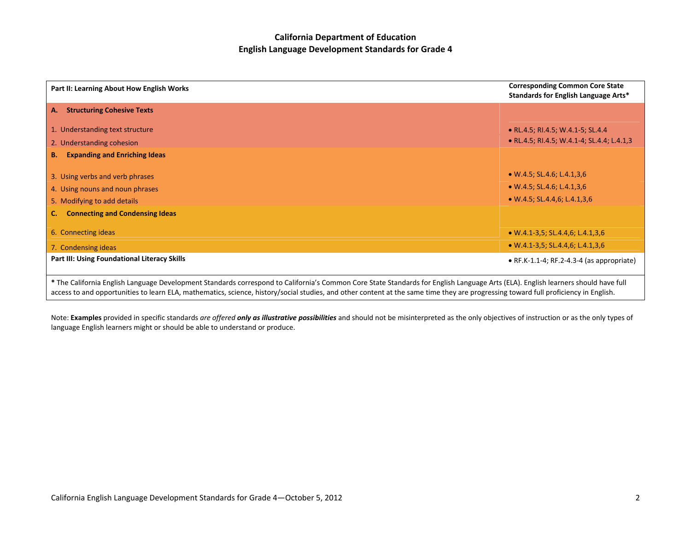| Part II: Learning About How English Works                                                                                                                                                                                                                                                                                                                                | <b>Corresponding Common Core State</b><br>Standards for English Language Arts* |
|--------------------------------------------------------------------------------------------------------------------------------------------------------------------------------------------------------------------------------------------------------------------------------------------------------------------------------------------------------------------------|--------------------------------------------------------------------------------|
| <b>Structuring Cohesive Texts</b><br>А.                                                                                                                                                                                                                                                                                                                                  |                                                                                |
| 1. Understanding text structure                                                                                                                                                                                                                                                                                                                                          | • RL.4.5; RI.4.5; W.4.1-5; SL.4.4                                              |
| 2. Understanding cohesion                                                                                                                                                                                                                                                                                                                                                | • RL.4.5; RI.4.5; W.4.1-4; SL.4.4; L.4.1,3                                     |
| <b>Expanding and Enriching Ideas</b><br><b>B.</b>                                                                                                                                                                                                                                                                                                                        |                                                                                |
| 3. Using verbs and verb phrases                                                                                                                                                                                                                                                                                                                                          | $\bullet$ W.4.5; SL.4.6; L.4.1,3,6                                             |
| 4. Using nouns and noun phrases                                                                                                                                                                                                                                                                                                                                          | $\bullet$ W.4.5; SL.4.6; L.4.1,3,6                                             |
| 5. Modifying to add details                                                                                                                                                                                                                                                                                                                                              | $\bullet$ W.4.5; SL.4.4,6; L.4.1,3,6                                           |
| <b>Connecting and Condensing Ideas</b>                                                                                                                                                                                                                                                                                                                                   |                                                                                |
| 6. Connecting ideas                                                                                                                                                                                                                                                                                                                                                      | $\bullet$ W.4.1-3,5; SL.4.4,6; L.4.1,3,6                                       |
| 7. Condensing ideas                                                                                                                                                                                                                                                                                                                                                      | $\bullet$ W.4.1-3,5; SL.4.4,6; L.4.1,3,6                                       |
| <b>Part III: Using Foundational Literacy Skills</b>                                                                                                                                                                                                                                                                                                                      | $\bullet$ RF.K-1.1-4; RF.2-4.3-4 (as appropriate)                              |
| * The California English Language Development Standards correspond to California's Common Core State Standards for English Language Arts (ELA). English learners should have full<br>access to and opportunities to learn ELA, mathematics, science, history/social studies, and other content at the same time they are progressing toward full proficiency in English. |                                                                                |

Note: **Examples** provided in specific standards are offered **only as illustrative possibilities** and should not be misinterpreted as the only objectives of instruction or as the only types of language English learners might or should be able to understand or produce.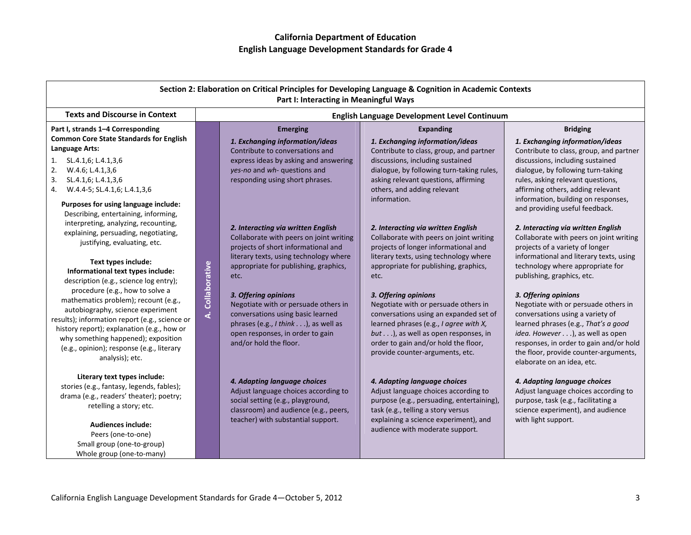| Section 2: Elaboration on Critical Principles for Developing Language & Cognition in Academic Contexts<br>Part I: Interacting in Meaningful Ways                                                                                                                                 |                  |                                                                                                                                                                                                        |                                                                                                                                                                                                                                                                    |                                                                                                                                                                                                                                                                                                |
|----------------------------------------------------------------------------------------------------------------------------------------------------------------------------------------------------------------------------------------------------------------------------------|------------------|--------------------------------------------------------------------------------------------------------------------------------------------------------------------------------------------------------|--------------------------------------------------------------------------------------------------------------------------------------------------------------------------------------------------------------------------------------------------------------------|------------------------------------------------------------------------------------------------------------------------------------------------------------------------------------------------------------------------------------------------------------------------------------------------|
| <b>Texts and Discourse in Context</b>                                                                                                                                                                                                                                            |                  |                                                                                                                                                                                                        | English Language Development Level Continuum                                                                                                                                                                                                                       |                                                                                                                                                                                                                                                                                                |
| Part I, strands 1-4 Corresponding<br><b>Common Core State Standards for English</b><br>Language Arts:                                                                                                                                                                            |                  | <b>Emerging</b><br>1. Exchanging information/ideas<br>Contribute to conversations and                                                                                                                  | <b>Expanding</b><br>1. Exchanging information/ideas<br>Contribute to class, group, and partner                                                                                                                                                                     | <b>Bridging</b><br>1. Exchanging information/ideas<br>Contribute to class, group, and partner                                                                                                                                                                                                  |
| 1.<br>SL.4.1,6; L.4.1,3,6<br>2.<br>W.4.6; L.4.1,3,6<br>3.<br>SL.4.1,6; L.4.1,3,6<br>W.4.4-5; SL.4.1,6; L.4.1,3,6<br>4.                                                                                                                                                           |                  | express ideas by asking and answering<br>yes-no and wh- questions and<br>responding using short phrases.                                                                                               | discussions, including sustained<br>dialogue, by following turn-taking rules,<br>asking relevant questions, affirming<br>others, and adding relevant<br>information.                                                                                               | discussions, including sustained<br>dialogue, by following turn-taking<br>rules, asking relevant questions,<br>affirming others, adding relevant                                                                                                                                               |
| Purposes for using language include:<br>Describing, entertaining, informing,<br>interpreting, analyzing, recounting,                                                                                                                                                             |                  | 2. Interacting via written English                                                                                                                                                                     | 2. Interacting via written English                                                                                                                                                                                                                                 | information, building on responses,<br>and providing useful feedback.<br>2. Interacting via written English                                                                                                                                                                                    |
| explaining, persuading, negotiating,<br>justifying, evaluating, etc.                                                                                                                                                                                                             |                  | Collaborate with peers on joint writing<br>projects of short informational and<br>literary texts, using technology where                                                                               | Collaborate with peers on joint writing<br>projects of longer informational and<br>literary texts, using technology where                                                                                                                                          | Collaborate with peers on joint writing<br>projects of a variety of longer<br>informational and literary texts, using                                                                                                                                                                          |
| Text types include:<br>Informational text types include:<br>description (e.g., science log entry);<br>procedure (e.g., how to solve a                                                                                                                                            | A. Collaborative | appropriate for publishing, graphics,<br>etc.                                                                                                                                                          | appropriate for publishing, graphics,<br>etc.                                                                                                                                                                                                                      | technology where appropriate for<br>publishing, graphics, etc.                                                                                                                                                                                                                                 |
| mathematics problem); recount (e.g.,<br>autobiography, science experiment<br>results); information report (e.g., science or<br>history report); explanation (e.g., how or<br>why something happened); exposition<br>(e.g., opinion); response (e.g., literary<br>analysis); etc. |                  | 3. Offering opinions<br>Negotiate with or persuade others in<br>conversations using basic learned<br>phrases (e.g., I think), as well as<br>open responses, in order to gain<br>and/or hold the floor. | 3. Offering opinions<br>Negotiate with or persuade others in<br>conversations using an expanded set of<br>learned phrases (e.g., I agree with X,<br>but), as well as open responses, in<br>order to gain and/or hold the floor,<br>provide counter-arguments, etc. | 3. Offering opinions<br>Negotiate with or persuade others in<br>conversations using a variety of<br>learned phrases (e.g., That's a good<br>idea. However ), as well as open<br>responses, in order to gain and/or hold<br>the floor, provide counter-arguments,<br>elaborate on an idea, etc. |
| Literary text types include:<br>stories (e.g., fantasy, legends, fables);<br>drama (e.g., readers' theater); poetry;<br>retelling a story; etc.                                                                                                                                  |                  | 4. Adapting language choices<br>Adjust language choices according to<br>social setting (e.g., playground,<br>classroom) and audience (e.g., peers,                                                     | 4. Adapting language choices<br>Adjust language choices according to<br>purpose (e.g., persuading, entertaining),<br>task (e.g., telling a story versus                                                                                                            | 4. Adapting language choices<br>Adjust language choices according to<br>purpose, task (e.g., facilitating a<br>science experiment), and audience                                                                                                                                               |
| <b>Audiences include:</b><br>Peers (one-to-one)<br>Small group (one-to-group)                                                                                                                                                                                                    |                  | teacher) with substantial support.                                                                                                                                                                     | explaining a science experiment), and<br>audience with moderate support.                                                                                                                                                                                           | with light support.                                                                                                                                                                                                                                                                            |
| Whole group (one-to-many)                                                                                                                                                                                                                                                        |                  |                                                                                                                                                                                                        |                                                                                                                                                                                                                                                                    |                                                                                                                                                                                                                                                                                                |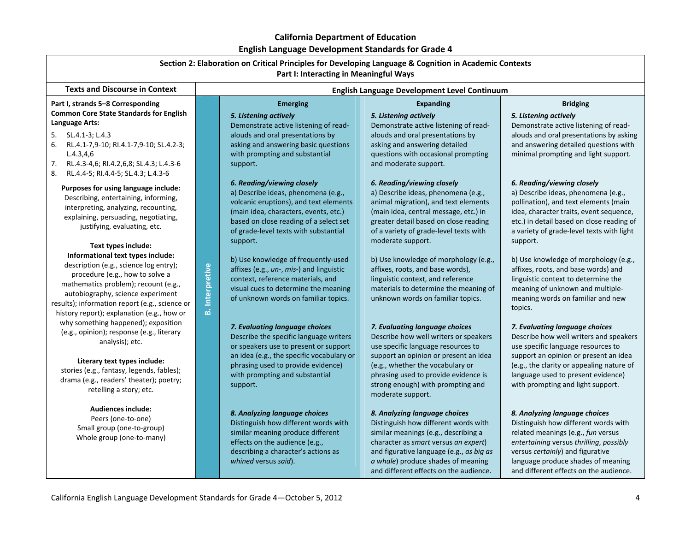| Luguan Langaage Development atanaaraa for Graac 4<br>Section 2: Elaboration on Critical Principles for Developing Language & Cognition in Academic Contexts<br>Part I: Interacting in Meaningful Ways                                                                                                              |                    |                                                                                                                                                                                                                                                    |                                                                                                                                                                                                                                                                                              |                                                                                                                                                                                                                                                                                 |
|--------------------------------------------------------------------------------------------------------------------------------------------------------------------------------------------------------------------------------------------------------------------------------------------------------------------|--------------------|----------------------------------------------------------------------------------------------------------------------------------------------------------------------------------------------------------------------------------------------------|----------------------------------------------------------------------------------------------------------------------------------------------------------------------------------------------------------------------------------------------------------------------------------------------|---------------------------------------------------------------------------------------------------------------------------------------------------------------------------------------------------------------------------------------------------------------------------------|
| <b>Texts and Discourse in Context</b>                                                                                                                                                                                                                                                                              |                    |                                                                                                                                                                                                                                                    | English Language Development Level Continuum                                                                                                                                                                                                                                                 |                                                                                                                                                                                                                                                                                 |
| Part I, strands 5-8 Corresponding<br><b>Common Core State Standards for English</b><br>Language Arts:                                                                                                                                                                                                              |                    | <b>Emerging</b><br>5. Listening actively<br>Demonstrate active listening of read-                                                                                                                                                                  | <b>Expanding</b><br>5. Listening actively<br>Demonstrate active listening of read-                                                                                                                                                                                                           | <b>Bridging</b><br>5. Listening actively<br>Demonstrate active listening of read-                                                                                                                                                                                               |
| $5.$ $SL.4.1-3: L.4.3$<br>RL.4.1-7,9-10; RI.4.1-7,9-10; SL.4.2-3;<br>6.<br>L.4.3, 4.6<br>7.<br>RL.4.3-4,6; RI.4.2,6,8; SL.4.3; L.4.3-6<br>8.<br>RL.4.4-5; RI.4.4-5; SL.4.3; L.4.3-6                                                                                                                                |                    | alouds and oral presentations by<br>asking and answering basic questions<br>with prompting and substantial<br>support.                                                                                                                             | alouds and oral presentations by<br>asking and answering detailed<br>questions with occasional prompting<br>and moderate support.                                                                                                                                                            | alouds and oral presentations by asking<br>and answering detailed questions with<br>minimal prompting and light support.                                                                                                                                                        |
| Purposes for using language include:<br>Describing, entertaining, informing,<br>interpreting, analyzing, recounting,<br>explaining, persuading, negotiating,<br>justifying, evaluating, etc.                                                                                                                       |                    | 6. Reading/viewing closely<br>a) Describe ideas, phenomena (e.g.,<br>volcanic eruptions), and text elements<br>(main idea, characters, events, etc.)<br>based on close reading of a select set<br>of grade-level texts with substantial            | 6. Reading/viewing closely<br>a) Describe ideas, phenomena (e.g.,<br>animal migration), and text elements<br>(main idea, central message, etc.) in<br>greater detail based on close reading<br>of a variety of grade-level texts with                                                        | 6. Reading/viewing closely<br>a) Describe ideas, phenomena (e.g.,<br>pollination), and text elements (main<br>idea, character traits, event sequence,<br>etc.) in detail based on close reading of<br>a variety of grade-level texts with light                                 |
| Text types include:<br>Informational text types include:<br>description (e.g., science log entry);<br>procedure (e.g., how to solve a<br>mathematics problem); recount (e.g.,<br>autobiography, science experiment<br>results); information report (e.g., science or<br>history report); explanation (e.g., how or | Interpretive<br>هٔ | support.<br>b) Use knowledge of frequently-used<br>affixes (e.g., un-, mis-) and linguistic<br>context, reference materials, and<br>visual cues to determine the meaning<br>of unknown words on familiar topics.                                   | moderate support.<br>b) Use knowledge of morphology (e.g.,<br>affixes, roots, and base words),<br>linguistic context, and reference<br>materials to determine the meaning of<br>unknown words on familiar topics.                                                                            | support.<br>b) Use knowledge of morphology (e.g.,<br>affixes, roots, and base words) and<br>linguistic context to determine the<br>meaning of unknown and multiple-<br>meaning words on familiar and new<br>topics.                                                             |
| why something happened); exposition<br>(e.g., opinion); response (e.g., literary<br>analysis); etc.<br>Literary text types include:<br>stories (e.g., fantasy, legends, fables);<br>drama (e.g., readers' theater); poetry;<br>retelling a story; etc.                                                             |                    | 7. Evaluating language choices<br>Describe the specific language writers<br>or speakers use to present or support<br>an idea (e.g., the specific vocabulary or<br>phrasing used to provide evidence)<br>with prompting and substantial<br>support. | 7. Evaluating language choices<br>Describe how well writers or speakers<br>use specific language resources to<br>support an opinion or present an idea<br>(e.g., whether the vocabulary or<br>phrasing used to provide evidence is<br>strong enough) with prompting and<br>moderate support. | 7. Evaluating language choices<br>Describe how well writers and speakers<br>use specific language resources to<br>support an opinion or present an idea<br>(e.g., the clarity or appealing nature of<br>language used to present evidence)<br>with prompting and light support. |
| <b>Audiences include:</b><br>Peers (one-to-one)<br>Small group (one-to-group)<br>Whole group (one-to-many)                                                                                                                                                                                                         |                    | 8. Analyzing language choices<br>Distinguish how different words with<br>similar meaning produce different<br>effects on the audience (e.g.,<br>describing a character's actions as<br>whined versus said).                                        | 8. Analyzing language choices<br>Distinguish how different words with<br>similar meanings (e.g., describing a<br>character as smart versus an expert)<br>and figurative language (e.g., as big as<br>a whale) produce shades of meaning<br>and different effects on the audience.            | 8. Analyzing language choices<br>Distinguish how different words with<br>related meanings (e.g., fun versus<br>entertaining versus thrilling, possibly<br>versus certainly) and figurative<br>language produce shades of meaning<br>and different effects on the audience.      |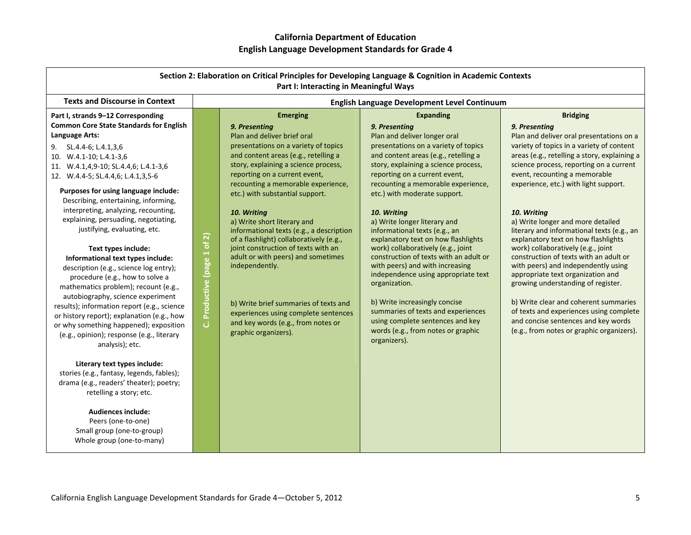|                                                                                                                                                                                                                                                                                                                                                                                                                                                                                                                                                                                                                                                                                                                                                                                                                                                                                                                                                                                                                                                            |                                | Section 2: Elaboration on Critical Principles for Developing Language & Cognition in Academic Contexts<br>Part I: Interacting in Meaningful Ways                                                                                                                                                                                                                                                                                                                                                                                                                                                                                                                                     |                                                                                                                                                                                                                                                                                                                                                                                                                                                                                                                                                                                                                                                                                                                                                                     |                                                                                                                                                                                                                                                                                                                                                                                                                                                                                                                                                                                                                                                                                                                                                                                                                   |
|------------------------------------------------------------------------------------------------------------------------------------------------------------------------------------------------------------------------------------------------------------------------------------------------------------------------------------------------------------------------------------------------------------------------------------------------------------------------------------------------------------------------------------------------------------------------------------------------------------------------------------------------------------------------------------------------------------------------------------------------------------------------------------------------------------------------------------------------------------------------------------------------------------------------------------------------------------------------------------------------------------------------------------------------------------|--------------------------------|--------------------------------------------------------------------------------------------------------------------------------------------------------------------------------------------------------------------------------------------------------------------------------------------------------------------------------------------------------------------------------------------------------------------------------------------------------------------------------------------------------------------------------------------------------------------------------------------------------------------------------------------------------------------------------------|---------------------------------------------------------------------------------------------------------------------------------------------------------------------------------------------------------------------------------------------------------------------------------------------------------------------------------------------------------------------------------------------------------------------------------------------------------------------------------------------------------------------------------------------------------------------------------------------------------------------------------------------------------------------------------------------------------------------------------------------------------------------|-------------------------------------------------------------------------------------------------------------------------------------------------------------------------------------------------------------------------------------------------------------------------------------------------------------------------------------------------------------------------------------------------------------------------------------------------------------------------------------------------------------------------------------------------------------------------------------------------------------------------------------------------------------------------------------------------------------------------------------------------------------------------------------------------------------------|
| <b>Texts and Discourse in Context</b>                                                                                                                                                                                                                                                                                                                                                                                                                                                                                                                                                                                                                                                                                                                                                                                                                                                                                                                                                                                                                      |                                |                                                                                                                                                                                                                                                                                                                                                                                                                                                                                                                                                                                                                                                                                      | English Language Development Level Continuum                                                                                                                                                                                                                                                                                                                                                                                                                                                                                                                                                                                                                                                                                                                        |                                                                                                                                                                                                                                                                                                                                                                                                                                                                                                                                                                                                                                                                                                                                                                                                                   |
| Part I, strands 9-12 Corresponding<br><b>Common Core State Standards for English</b><br>Language Arts:<br>SL.4.4-6; L.4.1,3,6<br>9.<br>10. W.4.1-10; L.4.1-3,6<br>11. W.4.1,4,9-10; SL.4.4,6; L.4.1-3,6<br>12. W.4.4-5; SL.4.4,6; L.4.1,3,5-6<br>Purposes for using language include:<br>Describing, entertaining, informing,<br>interpreting, analyzing, recounting,<br>explaining, persuading, negotiating,<br>justifying, evaluating, etc.<br>Text types include:<br>Informational text types include:<br>description (e.g., science log entry);<br>procedure (e.g., how to solve a<br>mathematics problem); recount (e.g.,<br>autobiography, science experiment<br>results); information report (e.g., science<br>or history report); explanation (e.g., how<br>or why something happened); exposition<br>(e.g., opinion); response (e.g., literary<br>analysis); etc.<br>Literary text types include:<br>stories (e.g., fantasy, legends, fables);<br>drama (e.g., readers' theater); poetry;<br>retelling a story; etc.<br><b>Audiences include:</b> | Productive (page 1 of 2)<br>ان | <b>Emerging</b><br>9. Presenting<br>Plan and deliver brief oral<br>presentations on a variety of topics<br>and content areas (e.g., retelling a<br>story, explaining a science process,<br>reporting on a current event,<br>recounting a memorable experience,<br>etc.) with substantial support.<br>10. Writing<br>a) Write short literary and<br>informational texts (e.g., a description<br>of a flashlight) collaboratively (e.g.,<br>joint construction of texts with an<br>adult or with peers) and sometimes<br>independently.<br>b) Write brief summaries of texts and<br>experiences using complete sentences<br>and key words (e.g., from notes or<br>graphic organizers). | <b>Expanding</b><br>9. Presentina<br>Plan and deliver longer oral<br>presentations on a variety of topics<br>and content areas (e.g., retelling a<br>story, explaining a science process,<br>reporting on a current event,<br>recounting a memorable experience,<br>etc.) with moderate support.<br>10. Writing<br>a) Write longer literary and<br>informational texts (e.g., an<br>explanatory text on how flashlights<br>work) collaboratively (e.g., joint<br>construction of texts with an adult or<br>with peers) and with increasing<br>independence using appropriate text<br>organization.<br>b) Write increasingly concise<br>summaries of texts and experiences<br>using complete sentences and key<br>words (e.g., from notes or graphic<br>organizers). | <b>Bridging</b><br>9. Presentina<br>Plan and deliver oral presentations on a<br>variety of topics in a variety of content<br>areas (e.g., retelling a story, explaining a<br>science process, reporting on a current<br>event, recounting a memorable<br>experience, etc.) with light support.<br>10. Writing<br>a) Write longer and more detailed<br>literary and informational texts (e.g., an<br>explanatory text on how flashlights<br>work) collaboratively (e.g., joint<br>construction of texts with an adult or<br>with peers) and independently using<br>appropriate text organization and<br>growing understanding of register.<br>b) Write clear and coherent summaries<br>of texts and experiences using complete<br>and concise sentences and key words<br>(e.g., from notes or graphic organizers). |
| Peers (one-to-one)<br>Small group (one-to-group)<br>Whole group (one-to-many)                                                                                                                                                                                                                                                                                                                                                                                                                                                                                                                                                                                                                                                                                                                                                                                                                                                                                                                                                                              |                                |                                                                                                                                                                                                                                                                                                                                                                                                                                                                                                                                                                                                                                                                                      |                                                                                                                                                                                                                                                                                                                                                                                                                                                                                                                                                                                                                                                                                                                                                                     |                                                                                                                                                                                                                                                                                                                                                                                                                                                                                                                                                                                                                                                                                                                                                                                                                   |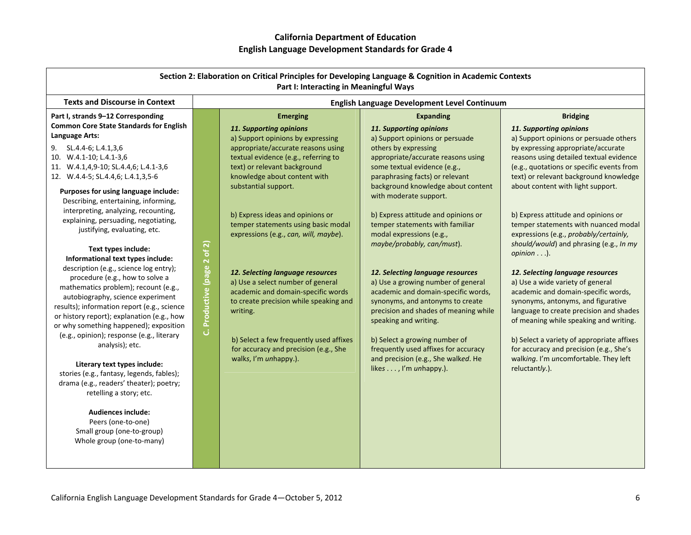| Section 2: Elaboration on Critical Principles for Developing Language & Cognition in Academic Contexts<br>Part I: Interacting in Meaningful Ways                                                                                                                                                                                                                                                                                                                                                                                                                                                                                                                                                                                                                                                                                                                                                                                                                                                                                                                                                                                            |                                |                                                                                                                                                                                                                                                                                                                                                                                                                                                                                                                                                                                                                                                             |                                                                                                                                                                                                                                                                                                                                                                                                                                                                                                                                                                                                                                                                                                                                                                                      |                                                                                                                                                                                                                                                                                                                                                                                                                                                                                                                                                                                                                                                                                                                                                                                                                                                                                  |
|---------------------------------------------------------------------------------------------------------------------------------------------------------------------------------------------------------------------------------------------------------------------------------------------------------------------------------------------------------------------------------------------------------------------------------------------------------------------------------------------------------------------------------------------------------------------------------------------------------------------------------------------------------------------------------------------------------------------------------------------------------------------------------------------------------------------------------------------------------------------------------------------------------------------------------------------------------------------------------------------------------------------------------------------------------------------------------------------------------------------------------------------|--------------------------------|-------------------------------------------------------------------------------------------------------------------------------------------------------------------------------------------------------------------------------------------------------------------------------------------------------------------------------------------------------------------------------------------------------------------------------------------------------------------------------------------------------------------------------------------------------------------------------------------------------------------------------------------------------------|--------------------------------------------------------------------------------------------------------------------------------------------------------------------------------------------------------------------------------------------------------------------------------------------------------------------------------------------------------------------------------------------------------------------------------------------------------------------------------------------------------------------------------------------------------------------------------------------------------------------------------------------------------------------------------------------------------------------------------------------------------------------------------------|----------------------------------------------------------------------------------------------------------------------------------------------------------------------------------------------------------------------------------------------------------------------------------------------------------------------------------------------------------------------------------------------------------------------------------------------------------------------------------------------------------------------------------------------------------------------------------------------------------------------------------------------------------------------------------------------------------------------------------------------------------------------------------------------------------------------------------------------------------------------------------|
| <b>Texts and Discourse in Context</b>                                                                                                                                                                                                                                                                                                                                                                                                                                                                                                                                                                                                                                                                                                                                                                                                                                                                                                                                                                                                                                                                                                       |                                |                                                                                                                                                                                                                                                                                                                                                                                                                                                                                                                                                                                                                                                             | English Language Development Level Continuum                                                                                                                                                                                                                                                                                                                                                                                                                                                                                                                                                                                                                                                                                                                                         |                                                                                                                                                                                                                                                                                                                                                                                                                                                                                                                                                                                                                                                                                                                                                                                                                                                                                  |
| Part I, strands 9-12 Corresponding<br><b>Common Core State Standards for English</b><br>Language Arts:<br>SL.4.4-6; L.4.1,3,6<br>9.<br>10. W.4.1-10; L.4.1-3,6<br>11. W.4.1,4,9-10; SL.4.4,6; L.4.1-3,6<br>12. W.4.4-5; SL.4.4,6; L.4.1,3,5-6<br>Purposes for using language include:<br>Describing, entertaining, informing,<br>interpreting, analyzing, recounting,<br>explaining, persuading, negotiating,<br>justifying, evaluating, etc.<br>Text types include:<br>Informational text types include:<br>description (e.g., science log entry);<br>procedure (e.g., how to solve a<br>mathematics problem); recount (e.g.,<br>autobiography, science experiment<br>results); information report (e.g., science<br>or history report); explanation (e.g., how<br>or why something happened); exposition<br>(e.g., opinion); response (e.g., literary<br>analysis); etc.<br>Literary text types include:<br>stories (e.g., fantasy, legends, fables);<br>drama (e.g., readers' theater); poetry;<br>retelling a story; etc.<br><b>Audiences include:</b><br>Peers (one-to-one)<br>Small group (one-to-group)<br>Whole group (one-to-many) | Productive (page 2 of 2)<br>ان | <b>Emerging</b><br>11. Supporting opinions<br>a) Support opinions by expressing<br>appropriate/accurate reasons using<br>textual evidence (e.g., referring to<br>text) or relevant background<br>knowledge about content with<br>substantial support.<br>b) Express ideas and opinions or<br>temper statements using basic modal<br>expressions (e.g., can, will, maybe).<br>12. Selecting language resources<br>a) Use a select number of general<br>academic and domain-specific words<br>to create precision while speaking and<br>writing.<br>b) Select a few frequently used affixes<br>for accuracy and precision (e.g., She<br>walks, I'm unhappy.). | <b>Expanding</b><br>11. Supporting opinions<br>a) Support opinions or persuade<br>others by expressing<br>appropriate/accurate reasons using<br>some textual evidence (e.g.,<br>paraphrasing facts) or relevant<br>background knowledge about content<br>with moderate support.<br>b) Express attitude and opinions or<br>temper statements with familiar<br>modal expressions (e.g.,<br>maybe/probably, can/must).<br>12. Selecting language resources<br>a) Use a growing number of general<br>academic and domain-specific words,<br>synonyms, and antonyms to create<br>precision and shades of meaning while<br>speaking and writing.<br>b) Select a growing number of<br>frequently used affixes for accuracy<br>and precision (e.g., She walked. He<br>likes , I'm unhappy.). | <b>Bridging</b><br>11. Supporting opinions<br>a) Support opinions or persuade others<br>by expressing appropriate/accurate<br>reasons using detailed textual evidence<br>(e.g., quotations or specific events from<br>text) or relevant background knowledge<br>about content with light support.<br>b) Express attitude and opinions or<br>temper statements with nuanced modal<br>expressions (e.g., probably/certainly,<br>should/would) and phrasing (e.g., In my<br>opinion).<br>12. Selecting language resources<br>a) Use a wide variety of general<br>academic and domain-specific words,<br>synonyms, antonyms, and figurative<br>language to create precision and shades<br>of meaning while speaking and writing.<br>b) Select a variety of appropriate affixes<br>for accuracy and precision (e.g., She's<br>walking. I'm uncomfortable. They left<br>reluctantly.). |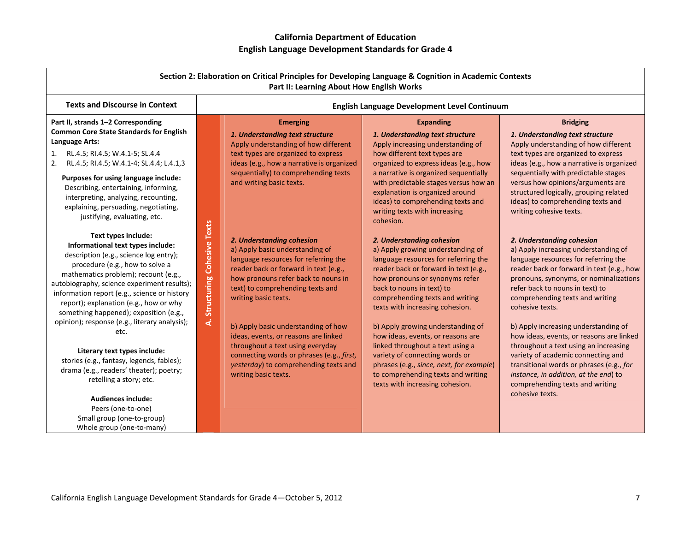| Section 2: Elaboration on Critical Principles for Developing Language & Cognition in Academic Contexts<br>Part II: Learning About How English Works                                                                                                                                                                                                                                                               |                               |                                                                                                                                                                                                                                                                                         |                                                                                                                                                                                                                                                                                                                           |                                                                                                                                                                                                                                                                                                                                   |
|-------------------------------------------------------------------------------------------------------------------------------------------------------------------------------------------------------------------------------------------------------------------------------------------------------------------------------------------------------------------------------------------------------------------|-------------------------------|-----------------------------------------------------------------------------------------------------------------------------------------------------------------------------------------------------------------------------------------------------------------------------------------|---------------------------------------------------------------------------------------------------------------------------------------------------------------------------------------------------------------------------------------------------------------------------------------------------------------------------|-----------------------------------------------------------------------------------------------------------------------------------------------------------------------------------------------------------------------------------------------------------------------------------------------------------------------------------|
| <b>Texts and Discourse in Context</b>                                                                                                                                                                                                                                                                                                                                                                             |                               | English Language Development Level Continuum                                                                                                                                                                                                                                            |                                                                                                                                                                                                                                                                                                                           |                                                                                                                                                                                                                                                                                                                                   |
| Part II, strands 1-2 Corresponding<br><b>Common Core State Standards for English</b><br>Language Arts:<br>RL.4.5; RI.4.5; W.4.1-5; SL.4.4<br>1.<br>RL.4.5; RI.4.5; W.4.1-4; SL.4.4; L.4.1,3<br>2.                                                                                                                                                                                                                 |                               | <b>Emerging</b><br>1. Understanding text structure<br>Apply understanding of how different<br>text types are organized to express<br>ideas (e.g., how a narrative is organized                                                                                                          | <b>Expanding</b><br>1. Understanding text structure<br>Apply increasing understanding of<br>how different text types are<br>organized to express ideas (e.g., how                                                                                                                                                         | <b>Bridging</b><br>1. Understanding text structure<br>Apply understanding of how different<br>text types are organized to express<br>ideas (e.g., how a narrative is organized                                                                                                                                                    |
| Purposes for using language include:<br>Describing, entertaining, informing,<br>interpreting, analyzing, recounting,<br>explaining, persuading, negotiating,<br>justifying, evaluating, etc.                                                                                                                                                                                                                      |                               | sequentially) to comprehending texts<br>and writing basic texts.                                                                                                                                                                                                                        | a narrative is organized sequentially<br>with predictable stages versus how an<br>explanation is organized around<br>ideas) to comprehending texts and<br>writing texts with increasing<br>cohesion.                                                                                                                      | sequentially with predictable stages<br>versus how opinions/arguments are<br>structured logically, grouping related<br>ideas) to comprehending texts and<br>writing cohesive texts.                                                                                                                                               |
| Text types include:<br>Informational text types include:<br>description (e.g., science log entry);<br>procedure (e.g., how to solve a<br>mathematics problem); recount (e.g.,<br>autobiography, science experiment results);<br>information report (e.g., science or history<br>report); explanation (e.g., how or why<br>something happened); exposition (e.g.,<br>opinion); response (e.g., literary analysis); | A. Structuring Cohesive Texts | 2. Understanding cohesion<br>a) Apply basic understanding of<br>language resources for referring the<br>reader back or forward in text (e.g.,<br>how pronouns refer back to nouns in<br>text) to comprehending texts and<br>writing basic texts.<br>b) Apply basic understanding of how | 2. Understanding cohesion<br>a) Apply growing understanding of<br>language resources for referring the<br>reader back or forward in text (e.g.,<br>how pronouns or synonyms refer<br>back to nouns in text) to<br>comprehending texts and writing<br>texts with increasing cohesion.<br>b) Apply growing understanding of | 2. Understanding cohesion<br>a) Apply increasing understanding of<br>language resources for referring the<br>reader back or forward in text (e.g., how<br>pronouns, synonyms, or nominalizations<br>refer back to nouns in text) to<br>comprehending texts and writing<br>cohesive texts.<br>b) Apply increasing understanding of |
| etc.<br>Literary text types include:<br>stories (e.g., fantasy, legends, fables);<br>drama (e.g., readers' theater); poetry;<br>retelling a story; etc.                                                                                                                                                                                                                                                           |                               | ideas, events, or reasons are linked<br>throughout a text using everyday<br>connecting words or phrases (e.g., first,<br>yesterday) to comprehending texts and<br>writing basic texts.                                                                                                  | how ideas, events, or reasons are<br>linked throughout a text using a<br>variety of connecting words or<br>phrases (e.g., since, next, for example)<br>to comprehending texts and writing<br>texts with increasing cohesion.                                                                                              | how ideas, events, or reasons are linked<br>throughout a text using an increasing<br>variety of academic connecting and<br>transitional words or phrases (e.g., for<br>instance, in addition, at the end) to<br>comprehending texts and writing                                                                                   |
| <b>Audiences include:</b><br>Peers (one-to-one)<br>Small group (one-to-group)<br>Whole group (one-to-many)                                                                                                                                                                                                                                                                                                        |                               |                                                                                                                                                                                                                                                                                         |                                                                                                                                                                                                                                                                                                                           | cohesive texts.                                                                                                                                                                                                                                                                                                                   |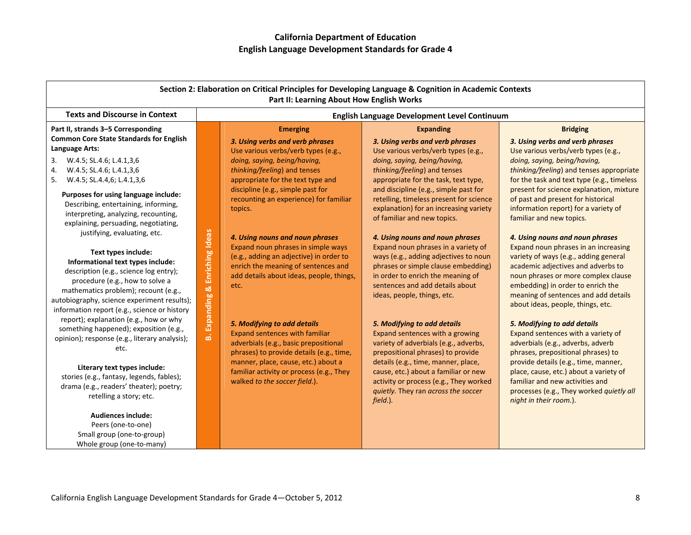| Section 2: Elaboration on Critical Principles for Developing Language & Cognition in Academic Contexts<br>Part II: Learning About How English Works                                                   |                                           |                                                                                                                                                           |                                                                                                                                                                          |                                                                                                                                                                                             |
|-------------------------------------------------------------------------------------------------------------------------------------------------------------------------------------------------------|-------------------------------------------|-----------------------------------------------------------------------------------------------------------------------------------------------------------|--------------------------------------------------------------------------------------------------------------------------------------------------------------------------|---------------------------------------------------------------------------------------------------------------------------------------------------------------------------------------------|
| <b>Texts and Discourse in Context</b>                                                                                                                                                                 |                                           |                                                                                                                                                           | English Language Development Level Continuum                                                                                                                             |                                                                                                                                                                                             |
| Part II, strands 3-5 Corresponding<br><b>Common Core State Standards for English</b>                                                                                                                  |                                           | <b>Emerging</b>                                                                                                                                           | <b>Expanding</b>                                                                                                                                                         | <b>Bridging</b>                                                                                                                                                                             |
| Language Arts:                                                                                                                                                                                        |                                           | 3. Using verbs and verb phrases<br>Use various verbs/verb types (e.g.,                                                                                    | 3. Using verbs and verb phrases<br>Use various verbs/verb types (e.g.,                                                                                                   | 3. Using verbs and verb phrases<br>Use various verbs/verb types (e.g.,                                                                                                                      |
| W.4.5; SL.4.6; L.4.1,3,6<br>3.<br>W.4.5; SL.4.6; L.4.1,3,6<br>4.<br>5. W.4.5; SL.4.4,6; L.4.1,3,6                                                                                                     |                                           | doing, saying, being/having,<br>thinking/feeling) and tenses<br>appropriate for the text type and                                                         | doing, saying, being/having,<br>thinking/feeling) and tenses<br>appropriate for the task, text type,                                                                     | doing, saying, being/having,<br>thinking/feeling) and tenses appropriate<br>for the task and text type (e.g., timeless                                                                      |
| Purposes for using language include:<br>Describing, entertaining, informing,<br>interpreting, analyzing, recounting,<br>explaining, persuading, negotiating,                                          |                                           | discipline (e.g., simple past for<br>recounting an experience) for familiar<br>topics.                                                                    | and discipline (e.g., simple past for<br>retelling, timeless present for science<br>explanation) for an increasing variety<br>of familiar and new topics.                | present for science explanation, mixture<br>of past and present for historical<br>information report) for a variety of<br>familiar and new topics.                                          |
| justifying, evaluating, etc.<br>Text types include:                                                                                                                                                   |                                           | 4. Using nouns and noun phrases<br>Expand noun phrases in simple ways<br>(e.g., adding an adjective) in order to                                          | 4. Using nouns and noun phrases<br>Expand noun phrases in a variety of<br>ways (e.g., adding adjectives to noun                                                          | 4. Using nouns and noun phrases<br>Expand noun phrases in an increasing<br>variety of ways (e.g., adding general                                                                            |
| Informational text types include:<br>description (e.g., science log entry);<br>procedure (e.g., how to solve a<br>mathematics problem); recount (e.g.,<br>autobiography, science experiment results); | <b>B. Expanding &amp; Enriching Ideas</b> | enrich the meaning of sentences and<br>add details about ideas, people, things,<br>etc.                                                                   | phrases or simple clause embedding)<br>in order to enrich the meaning of<br>sentences and add details about<br>ideas, people, things, etc.                               | academic adjectives and adverbs to<br>noun phrases or more complex clause<br>embedding) in order to enrich the<br>meaning of sentences and add details<br>about ideas, people, things, etc. |
| information report (e.g., science or history<br>report); explanation (e.g., how or why<br>something happened); exposition (e.g.,<br>opinion); response (e.g., literary analysis);<br>etc.             |                                           | 5. Modifying to add details<br><b>Expand sentences with familiar</b><br>adverbials (e.g., basic prepositional<br>phrases) to provide details (e.g., time, | 5. Modifying to add details<br>Expand sentences with a growing<br>variety of adverbials (e.g., adverbs,<br>prepositional phrases) to provide                             | 5. Modifying to add details<br>Expand sentences with a variety of<br>adverbials (e.g., adverbs, adverb<br>phrases, prepositional phrases) to                                                |
| Literary text types include:<br>stories (e.g., fantasy, legends, fables);<br>drama (e.g., readers' theater); poetry;<br>retelling a story; etc.                                                       |                                           | manner, place, cause, etc.) about a<br>familiar activity or process (e.g., They<br>walked to the soccer field.).                                          | details (e.g., time, manner, place,<br>cause, etc.) about a familiar or new<br>activity or process (e.g., They worked<br>quietly. They ran across the soccer<br>field.). | provide details (e.g., time, manner,<br>place, cause, etc.) about a variety of<br>familiar and new activities and<br>processes (e.g., They worked quietly all<br>night in their room.).     |
| <b>Audiences include:</b><br>Peers (one-to-one)<br>Small group (one-to-group)                                                                                                                         |                                           |                                                                                                                                                           |                                                                                                                                                                          |                                                                                                                                                                                             |

Whole group (one‐to‐many)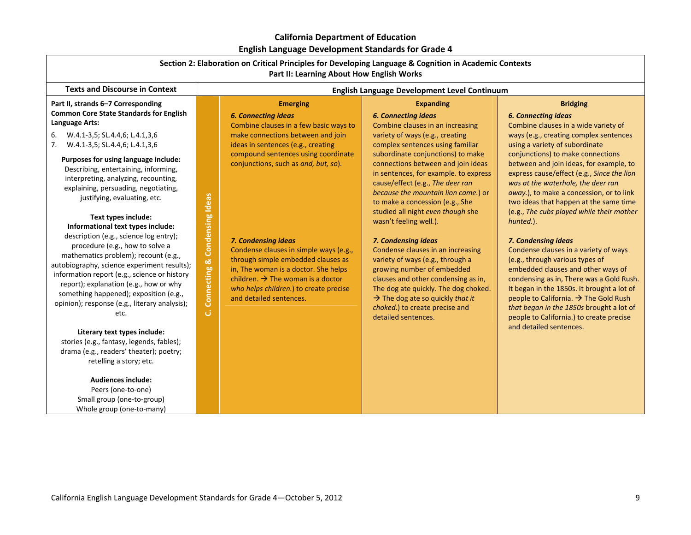| Section 2: Elaboration on Critical Principles for Developing Language & Cognition in Academic Contexts<br>Part II: Learning About How English Works                                                                                                                                                                                                                                                                                                                                                                                                                                                                                                                                                                                                                                                                                                                                        |                                                               |                                                                                                                                                                                                                                                                                                                                                  |                                                                                                                                                                                                                                                                                                                                                                                                                                                                                                                                                                                                                     |                                                                                                                                                                                                                                                                                                                                                                                                                                                                                                                                                                                                                                                                                                                 |
|--------------------------------------------------------------------------------------------------------------------------------------------------------------------------------------------------------------------------------------------------------------------------------------------------------------------------------------------------------------------------------------------------------------------------------------------------------------------------------------------------------------------------------------------------------------------------------------------------------------------------------------------------------------------------------------------------------------------------------------------------------------------------------------------------------------------------------------------------------------------------------------------|---------------------------------------------------------------|--------------------------------------------------------------------------------------------------------------------------------------------------------------------------------------------------------------------------------------------------------------------------------------------------------------------------------------------------|---------------------------------------------------------------------------------------------------------------------------------------------------------------------------------------------------------------------------------------------------------------------------------------------------------------------------------------------------------------------------------------------------------------------------------------------------------------------------------------------------------------------------------------------------------------------------------------------------------------------|-----------------------------------------------------------------------------------------------------------------------------------------------------------------------------------------------------------------------------------------------------------------------------------------------------------------------------------------------------------------------------------------------------------------------------------------------------------------------------------------------------------------------------------------------------------------------------------------------------------------------------------------------------------------------------------------------------------------|
| <b>Texts and Discourse in Context</b>                                                                                                                                                                                                                                                                                                                                                                                                                                                                                                                                                                                                                                                                                                                                                                                                                                                      |                                                               |                                                                                                                                                                                                                                                                                                                                                  | English Language Development Level Continuum                                                                                                                                                                                                                                                                                                                                                                                                                                                                                                                                                                        |                                                                                                                                                                                                                                                                                                                                                                                                                                                                                                                                                                                                                                                                                                                 |
| Part II, strands 6-7 Corresponding<br><b>Common Core State Standards for English</b><br>Language Arts:<br>6. W.4.1-3,5; SL.4.4,6; L.4.1,3,6<br>7. W.4.1-3,5; SL.4.4,6; L.4.1,3,6                                                                                                                                                                                                                                                                                                                                                                                                                                                                                                                                                                                                                                                                                                           |                                                               | <b>Emerging</b><br><b>6. Connecting ideas</b><br>Combine clauses in a few basic ways to<br>make connections between and join<br>ideas in sentences (e.g., creating                                                                                                                                                                               | <b>Expanding</b><br><b>6. Connecting ideas</b><br>Combine clauses in an increasing<br>variety of ways (e.g., creating<br>complex sentences using familiar                                                                                                                                                                                                                                                                                                                                                                                                                                                           | <b>Bridging</b><br><b>6. Connecting ideas</b><br>Combine clauses in a wide variety of<br>ways (e.g., creating complex sentences<br>using a variety of subordinate                                                                                                                                                                                                                                                                                                                                                                                                                                                                                                                                               |
| Purposes for using language include:<br>Describing, entertaining, informing,<br>interpreting, analyzing, recounting,<br>explaining, persuading, negotiating,<br>justifying, evaluating, etc.<br>Text types include:<br>Informational text types include:<br>description (e.g., science log entry);<br>procedure (e.g., how to solve a<br>mathematics problem); recount (e.g.,<br>autobiography, science experiment results);<br>information report (e.g., science or history<br>report); explanation (e.g., how or why<br>something happened); exposition (e.g.,<br>opinion); response (e.g., literary analysis);<br>etc.<br>Literary text types include:<br>stories (e.g., fantasy, legends, fables);<br>drama (e.g., readers' theater); poetry;<br>retelling a story; etc.<br><b>Audiences include:</b><br>Peers (one-to-one)<br>Small group (one-to-group)<br>Whole group (one-to-many) | <b>Condensing Ideas</b><br><b>ಟ</b><br><b>Connecting</b><br>ئ | compound sentences using coordinate<br>conjunctions, such as and, but, so).<br>7. Condensing ideas<br>Condense clauses in simple ways (e.g.,<br>through simple embedded clauses as<br>in, The woman is a doctor. She helps<br>children. $\rightarrow$ The woman is a doctor<br>who helps children.) to create precise<br>and detailed sentences. | subordinate conjunctions) to make<br>connections between and join ideas<br>in sentences, for example. to express<br>cause/effect (e.g., The deer ran<br>because the mountain lion came.) or<br>to make a concession (e.g., She<br>studied all night even though she<br>wasn't feeling well.).<br>7. Condensing ideas<br>Condense clauses in an increasing<br>variety of ways (e.g., through a<br>growing number of embedded<br>clauses and other condensing as in,<br>The dog ate quickly. The dog choked.<br>$\rightarrow$ The dog ate so quickly that it<br>choked.) to create precise and<br>detailed sentences. | conjunctions) to make connections<br>between and join ideas, for example, to<br>express cause/effect (e.g., Since the lion<br>was at the waterhole, the deer ran<br>away.), to make a concession, or to link<br>two ideas that happen at the same time<br>(e.g., The cubs played while their mother<br>hunted.).<br>7. Condensing ideas<br>Condense clauses in a variety of ways<br>(e.g., through various types of<br>embedded clauses and other ways of<br>condensing as in, There was a Gold Rush.<br>It began in the 1850s. It brought a lot of<br>people to California. → The Gold Rush<br>that began in the 1850s brought a lot of<br>people to California.) to create precise<br>and detailed sentences. |